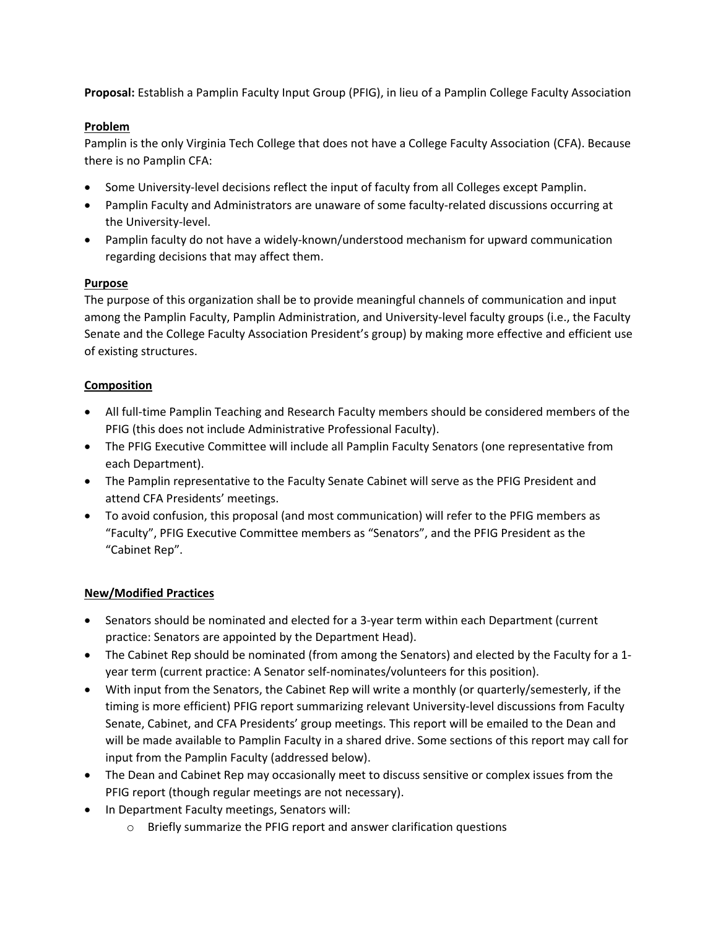**Proposal:** Establish a Pamplin Faculty Input Group (PFIG), in lieu of a Pamplin College Faculty Association

# **Problem**

Pamplin is the only Virginia Tech College that does not have a College Faculty Association (CFA). Because there is no Pamplin CFA:

- Some University-level decisions reflect the input of faculty from all Colleges except Pamplin.
- Pamplin Faculty and Administrators are unaware of some faculty-related discussions occurring at the University-level.
- Pamplin faculty do not have a widely-known/understood mechanism for upward communication regarding decisions that may affect them.

# **Purpose**

The purpose of this organization shall be to provide meaningful channels of communication and input among the Pamplin Faculty, Pamplin Administration, and University-level faculty groups (i.e., the Faculty Senate and the College Faculty Association President's group) by making more effective and efficient use of existing structures.

# **Composition**

- All full-time Pamplin Teaching and Research Faculty members should be considered members of the PFIG (this does not include Administrative Professional Faculty).
- The PFIG Executive Committee will include all Pamplin Faculty Senators (one representative from each Department).
- The Pamplin representative to the Faculty Senate Cabinet will serve as the PFIG President and attend CFA Presidents' meetings.
- To avoid confusion, this proposal (and most communication) will refer to the PFIG members as "Faculty", PFIG Executive Committee members as "Senators", and the PFIG President as the "Cabinet Rep".

# **New/Modified Practices**

- Senators should be nominated and elected for a 3-year term within each Department (current practice: Senators are appointed by the Department Head).
- The Cabinet Rep should be nominated (from among the Senators) and elected by the Faculty for a 1year term (current practice: A Senator self-nominates/volunteers for this position).
- With input from the Senators, the Cabinet Rep will write a monthly (or quarterly/semesterly, if the timing is more efficient) PFIG report summarizing relevant University-level discussions from Faculty Senate, Cabinet, and CFA Presidents' group meetings. This report will be emailed to the Dean and will be made available to Pamplin Faculty in a shared drive. Some sections of this report may call for input from the Pamplin Faculty (addressed below).
- The Dean and Cabinet Rep may occasionally meet to discuss sensitive or complex issues from the PFIG report (though regular meetings are not necessary).
- In Department Faculty meetings, Senators will:
	- o Briefly summarize the PFIG report and answer clarification questions